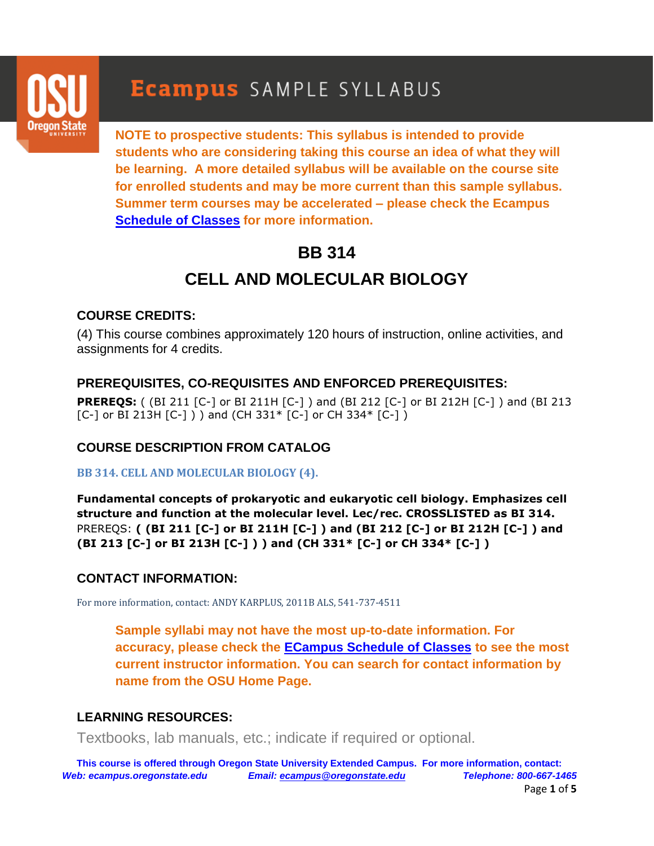

# **Ecampus** SAMPLE SYLLABUS

**NOTE to prospective students: This syllabus is intended to provide students who are considering taking this course an idea of what they will be learning. A more detailed syllabus will be available on the course site for enrolled students and may be more current than this sample syllabus. Summer term courses may be accelerated – please check the Ecampus [Schedule of Classes](http://ecampus.oregonstate.edu/soc/ecatalog/) for more information.**

## **BB 314 CELL AND MOLECULAR BIOLOGY**

#### **COURSE CREDITS:**

(4) This course combines approximately 120 hours of instruction, online activities, and assignments for 4 credits.

#### **PREREQUISITES, CO-REQUISITES AND ENFORCED PREREQUISITES:**

**PREREQS:** ( (BI 211 [C-] or BI 211H [C-] ) and (BI 212 [C-] or BI 212H [C-] ) and (BI 213  $[C-]$  or BI 213H  $[C-]$ ) ) and (CH 331\*  $[C-]$  or CH 334\*  $[C-]$ )

#### **COURSE DESCRIPTION FROM CATALOG**

**BB 314. CELL AND MOLECULAR BIOLOGY (4).** 

**Fundamental concepts of prokaryotic and eukaryotic cell biology. Emphasizes cell structure and function at the molecular level. Lec/rec. CROSSLISTED as BI 314.**  PREREQS: **( (BI 211 [C-] or BI 211H [C-] ) and (BI 212 [C-] or BI 212H [C-] ) and (BI 213 [C-] or BI 213H [C-] ) ) and (CH 331\* [C-] or CH 334\* [C-] )**

#### **CONTACT INFORMATION:**

For more information, contact: ANDY KARPLUS, 2011B ALS, 541-737-4511

**Sample syllabi may not have the most up-to-date information. For accuracy, please check the [ECampus Schedule of Classes](http://ecampus.oregonstate.edu/soc/) to see the most current instructor information. You can search for contact information by name from the OSU Home Page.**

#### **LEARNING RESOURCES:**

Textbooks, lab manuals, etc.; indicate if required or optional.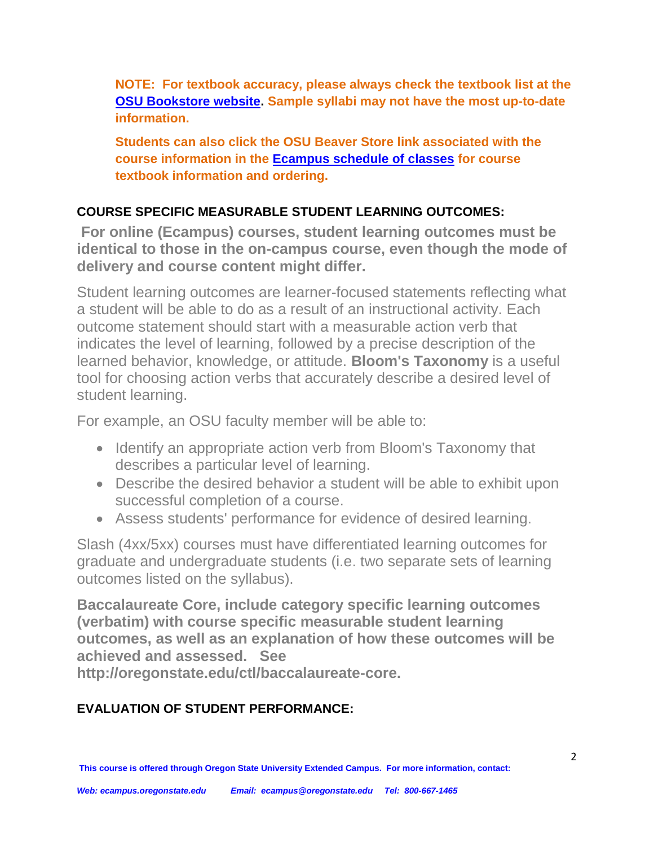**NOTE: For textbook accuracy, please always check the textbook list at the [OSU Bookstore website.](http://osubeaverstore.com/Academics/) Sample syllabi may not have the most up-to-date information.** 

**Students can also click the OSU Beaver Store link associated with the course information in the [Ecampus schedule of classes](http://ecampus.oregonstate.edu/soc/) for course textbook information and ordering.** 

### **COURSE SPECIFIC MEASURABLE STUDENT LEARNING OUTCOMES:**

**For online (Ecampus) courses, student learning outcomes must be identical to those in the on-campus course, even though the mode of delivery and course content might differ.**

Student learning outcomes are learner-focused statements reflecting what a student will be able to do as a result of an instructional activity. Each outcome statement should start with a measurable action verb that indicates the level of learning, followed by a precise description of the learned behavior, knowledge, or attitude. **Bloom's Taxonomy** is a useful tool for choosing action verbs that accurately describe a desired level of student learning.

For example, an OSU faculty member will be able to:

- Identify an appropriate action verb from Bloom's Taxonomy that describes a particular level of learning.
- Describe the desired behavior a student will be able to exhibit upon successful completion of a course.
- Assess students' performance for evidence of desired learning.

Slash (4xx/5xx) courses must have differentiated learning outcomes for graduate and undergraduate students (i.e. two separate sets of learning outcomes listed on the syllabus).

**Baccalaureate Core, include category specific learning outcomes (verbatim) with course specific measurable student learning outcomes, as well as an explanation of how these outcomes will be achieved and assessed. See http://oregonstate.edu/ctl/baccalaureate-core.** 

#### **EVALUATION OF STUDENT PERFORMANCE:**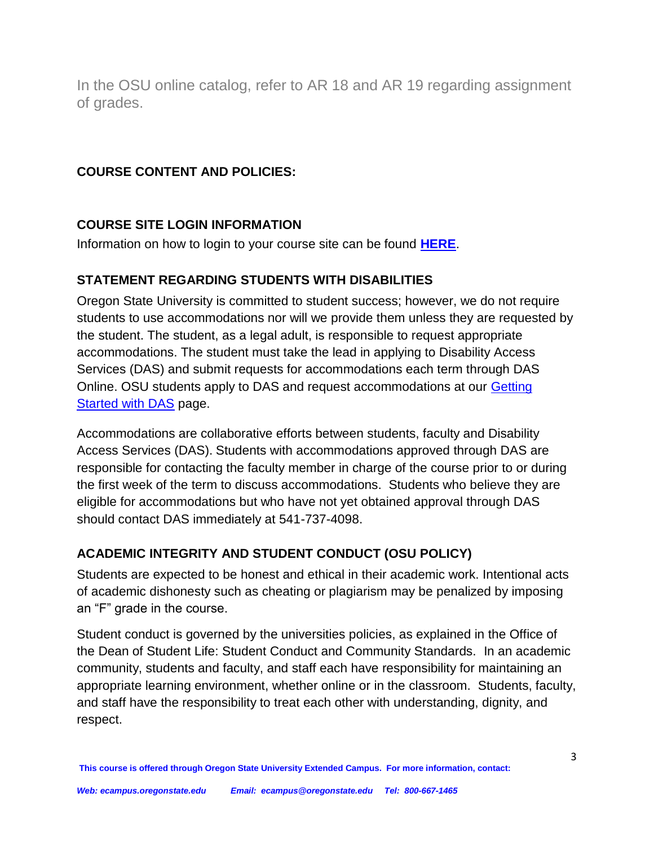In the OSU online catalog, refer to AR 18 and AR 19 regarding assignment of grades.

#### **COURSE CONTENT AND POLICIES:**

#### **COURSE SITE LOGIN INFORMATION**

Information on how to login to your course site can be found **[HERE](http://ecampus.oregonstate.edu/services/start/canvas-login.htm?expand=yes)**.

#### **STATEMENT REGARDING STUDENTS WITH DISABILITIES**

Oregon State University is committed to student success; however, we do not require students to use accommodations nor will we provide them unless they are requested by the student. The student, as a legal adult, is responsible to request appropriate accommodations. The student must take the lead in applying to Disability Access Services (DAS) and submit requests for accommodations each term through DAS Online. OSU students apply to DAS and request accommodations at our **Getting** [Started with DAS](http://ds.oregonstate.edu/getting-started-das) page.

Accommodations are collaborative efforts between students, faculty and Disability Access Services (DAS). Students with accommodations approved through DAS are responsible for contacting the faculty member in charge of the course prior to or during the first week of the term to discuss accommodations. Students who believe they are eligible for accommodations but who have not yet obtained approval through DAS should contact DAS immediately at 541-737-4098.

#### **ACADEMIC INTEGRITY AND STUDENT CONDUCT (OSU POLICY)**

Students are expected to be honest and ethical in their academic work. Intentional acts of academic dishonesty such as cheating or plagiarism may be penalized by imposing an "F" grade in the course.

Student conduct is governed by the universities policies, as explained in the Office of the Dean of Student Life: Student Conduct and Community Standards. In an academic community, students and faculty, and staff each have responsibility for maintaining an appropriate learning environment, whether online or in the classroom. Students, faculty, and staff have the responsibility to treat each other with understanding, dignity, and respect.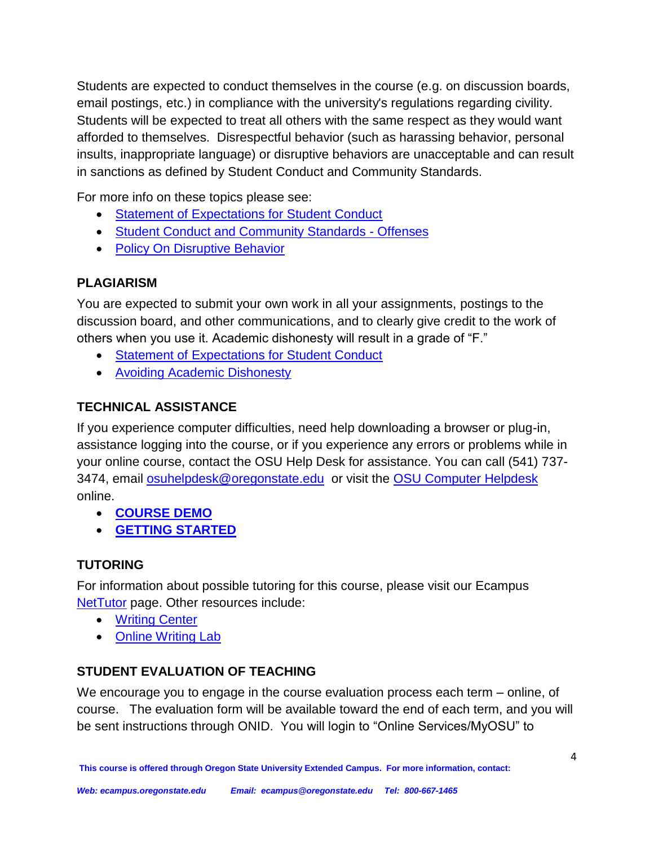Students are expected to conduct themselves in the course (e.g. on discussion boards, email postings, etc.) in compliance with the university's regulations regarding civility. Students will be expected to treat all others with the same respect as they would want afforded to themselves. Disrespectful behavior (such as harassing behavior, personal insults, inappropriate language) or disruptive behaviors are unacceptable and can result in sanctions as defined by Student Conduct and Community Standards.

For more info on these topics please see:

- [Statement of Expectations for Student Conduct](http://studentlife.oregonstate.edu/studentconduct)
- [Student Conduct and Community Standards -](http://studentlife.oregonstate.edu/studentconduct/offenses-0) Offenses
- [Policy On Disruptive Behavior](http://studentlife.oregonstate.edu/studentconduct/disruptive-behavior)

#### **PLAGIARISM**

You are expected to submit your own work in all your assignments, postings to the discussion board, and other communications, and to clearly give credit to the work of others when you use it. Academic dishonesty will result in a grade of "F."

- **[Statement of Expectations for Student Conduct](http://studentlife.oregonstate.edu/studentconduct)**
- **[Avoiding Academic Dishonesty](http://guides.library.oregonstate.edu/subject-guide/1771-Academic-Integrity-for-Students)**

#### **TECHNICAL ASSISTANCE**

If you experience computer difficulties, need help downloading a browser or plug-in, assistance logging into the course, or if you experience any errors or problems while in your online course, contact the OSU Help Desk for assistance. You can call (541) 737- 3474, email [osuhelpdesk@oregonstate.edu](mailto:osuhelpdesk@oregonstate.edu) or visit the [OSU Computer Helpdesk](http://is.oregonstate.edu/accounts-support/och) online.

- **[COURSE DEMO](http://ecampus.oregonstate.edu/coursedemo/)**
- **[GETTING STARTED](http://ecampus.oregonstate.edu/students/newly-admitted/)**

#### **TUTORING**

For information about possible tutoring for this course, please visit our Ecampus [NetTutor](http://ecampus.oregonstate.edu/services/student-services/online-tutoring/) page. Other resources include:

- [Writing Center](http://writingcenter.oregonstate.edu/)
- [Online Writing Lab](http://cwl.oregonstate.edu/owl.php)

#### **STUDENT EVALUATION OF TEACHING**

We encourage you to engage in the course evaluation process each term – online, of course. The evaluation form will be available toward the end of each term, and you will be sent instructions through ONID. You will login to "Online Services/MyOSU" to